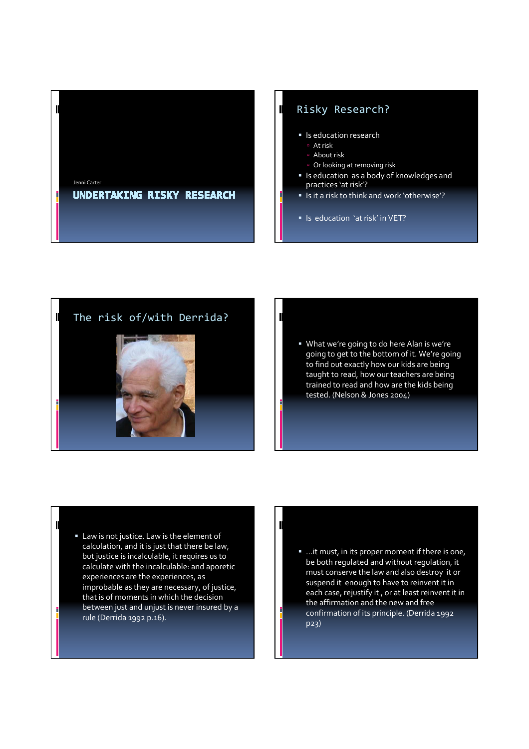

## Risky Research?

- **In Is education research**
- At risk
- About risk
- **Dr looking at removing risk**
- Is education as a body of knowledges and practices 'at risk'?
- **I** Is it a risk to think and work 'otherwise'?
- In Is education 'at risk' in VET?

# The risk of/with Derrida?

 $\blacksquare$ 

 $\mathbb I$ 



#### What we're going to do here Alan is we're going to get to the bottom of it. We're going to find out exactly how our kids are being taught to read, how our teachers are being trained to read and how are the kids being tested. (Nelson & Jones 2004)

#### Law is not justice. Law is the element of calculation, and it is just that there be law, but justice is incalculable, it requires us to calculate with the incalculable: and aporetic experiences are the experiences, as improbable as they are necessary, of justice, that is of moments in which the decision between just and unjust is never insured by a rule (Derrida 1992 p.16).

#### ■ …it must, in its proper moment if there is one, be both regulated and without regulation, it must conserve the law and also destroy it or suspend it enough to have to reinvent it in each case, rejustify it , or at least reinvent it in the affirmation and the new and free confirmation of its principle. (Derrida 1992 p23)